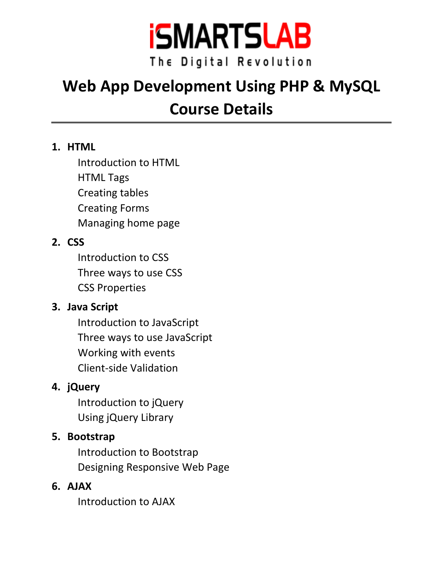

# **Web App Development Using PHP & MySQL Course Details**

#### **1. HTML**

Introduction to HTML HTML Tags Creating tables Creating Forms Managing home page

# **2. CSS**

Introduction to CSS Three ways to use CSS CSS Properties

# **3. Java Script**

Introduction to JavaScript Three ways to use JavaScript Working with events Client-side Validation

# **4. jQuery**

Introduction to jQuery Using jQuery Library

# **5. Bootstrap**

Introduction to Bootstrap Designing Responsive Web Page

#### **6. AJAX**

Introduction to AJAX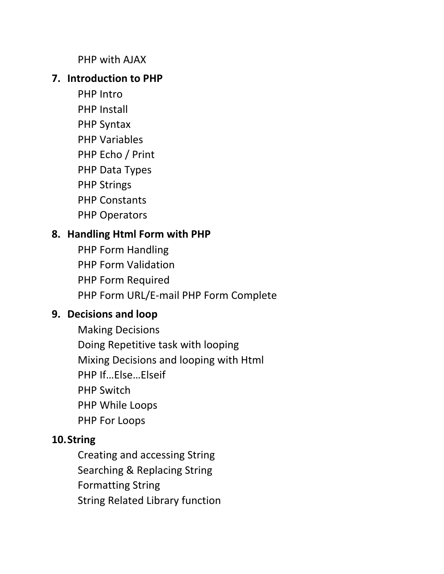PHP with AJAX

#### **7. Introduction to PHP**

- PHP Intro PHP Install
- PHP Syntax
- PHP Variables
- PHP Echo / Print
- PHP Data Types
- PHP Strings
- PHP Constants
- PHP Operators

# **8. Handling Html Form with PHP**

PHP Form Handling PHP Form Validation PHP Form Required PHP Form URL/E-mail PHP Form Complete

# **9. Decisions and loop**

Making Decisions Doing Repetitive task with looping Mixing Decisions and looping with Html PHP If…Else…Elseif PHP Switch PHP While Loops PHP For Loops

# **10.String**

Creating and accessing String Searching & Replacing String Formatting String String Related Library function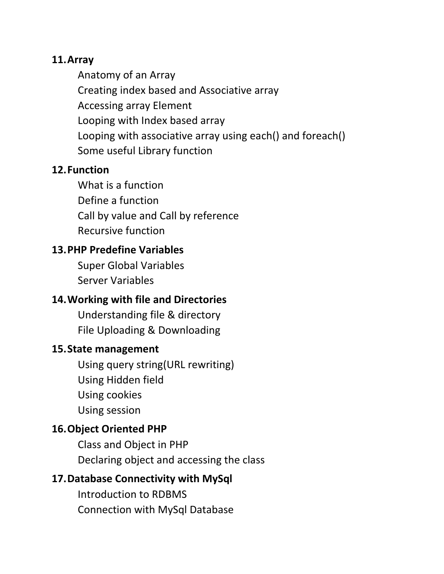#### **11.Array**

Anatomy of an Array Creating index based and Associative array Accessing array Element Looping with Index based array Looping with associative array using each() and foreach() Some useful Library function

#### **12.Function**

What is a function Define a function Call by value and Call by reference Recursive function

#### **13.PHP Predefine Variables**

Super Global Variables Server Variables

#### **14.Working with file and Directories**

Understanding file & directory File Uploading & Downloading

#### **15.State management**

Using query string(URL rewriting) Using Hidden field Using cookies Using session

#### **16.Object Oriented PHP**

Class and Object in PHP Declaring object and accessing the class

#### **17.Database Connectivity with MySql**

Introduction to RDBMS Connection with MySql Database